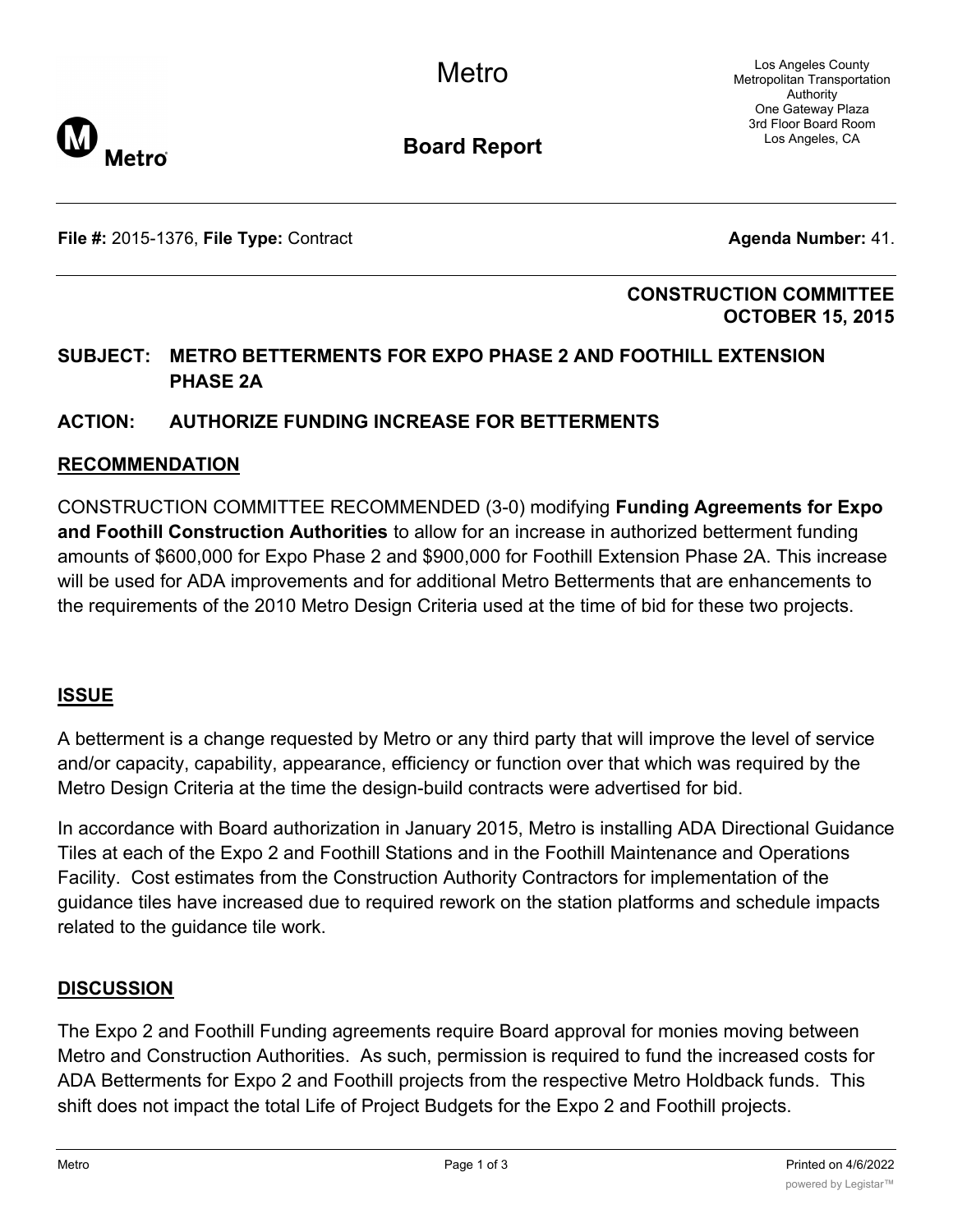Los Angeles County Metropolitan Transportation Authority One Gateway Plaza 3rd Floor Board Room Los Angeles, CA



**Board Report**

**File #:** 2015-1376, File Type: Contract **Agents Agents Agenda Number:** 41.

### **CONSTRUCTION COMMITTEE OCTOBER 15, 2015**

# **SUBJECT: METRO BETTERMENTS FOR EXPO PHASE 2 AND FOOTHILL EXTENSION PHASE 2A**

# **ACTION: AUTHORIZE FUNDING INCREASE FOR BETTERMENTS**

### **RECOMMENDATION**

CONSTRUCTION COMMITTEE RECOMMENDED (3-0) modifying **Funding Agreements for Expo and Foothill Construction Authorities** to allow for an increase in authorized betterment funding amounts of \$600,000 for Expo Phase 2 and \$900,000 for Foothill Extension Phase 2A. This increase will be used for ADA improvements and for additional Metro Betterments that are enhancements to the requirements of the 2010 Metro Design Criteria used at the time of bid for these two projects.

### **ISSUE**

A betterment is a change requested by Metro or any third party that will improve the level of service and/or capacity, capability, appearance, efficiency or function over that which was required by the Metro Design Criteria at the time the design-build contracts were advertised for bid.

In accordance with Board authorization in January 2015, Metro is installing ADA Directional Guidance Tiles at each of the Expo 2 and Foothill Stations and in the Foothill Maintenance and Operations Facility. Cost estimates from the Construction Authority Contractors for implementation of the guidance tiles have increased due to required rework on the station platforms and schedule impacts related to the guidance tile work.

#### **DISCUSSION**

The Expo 2 and Foothill Funding agreements require Board approval for monies moving between Metro and Construction Authorities. As such, permission is required to fund the increased costs for ADA Betterments for Expo 2 and Foothill projects from the respective Metro Holdback funds. This shift does not impact the total Life of Project Budgets for the Expo 2 and Foothill projects.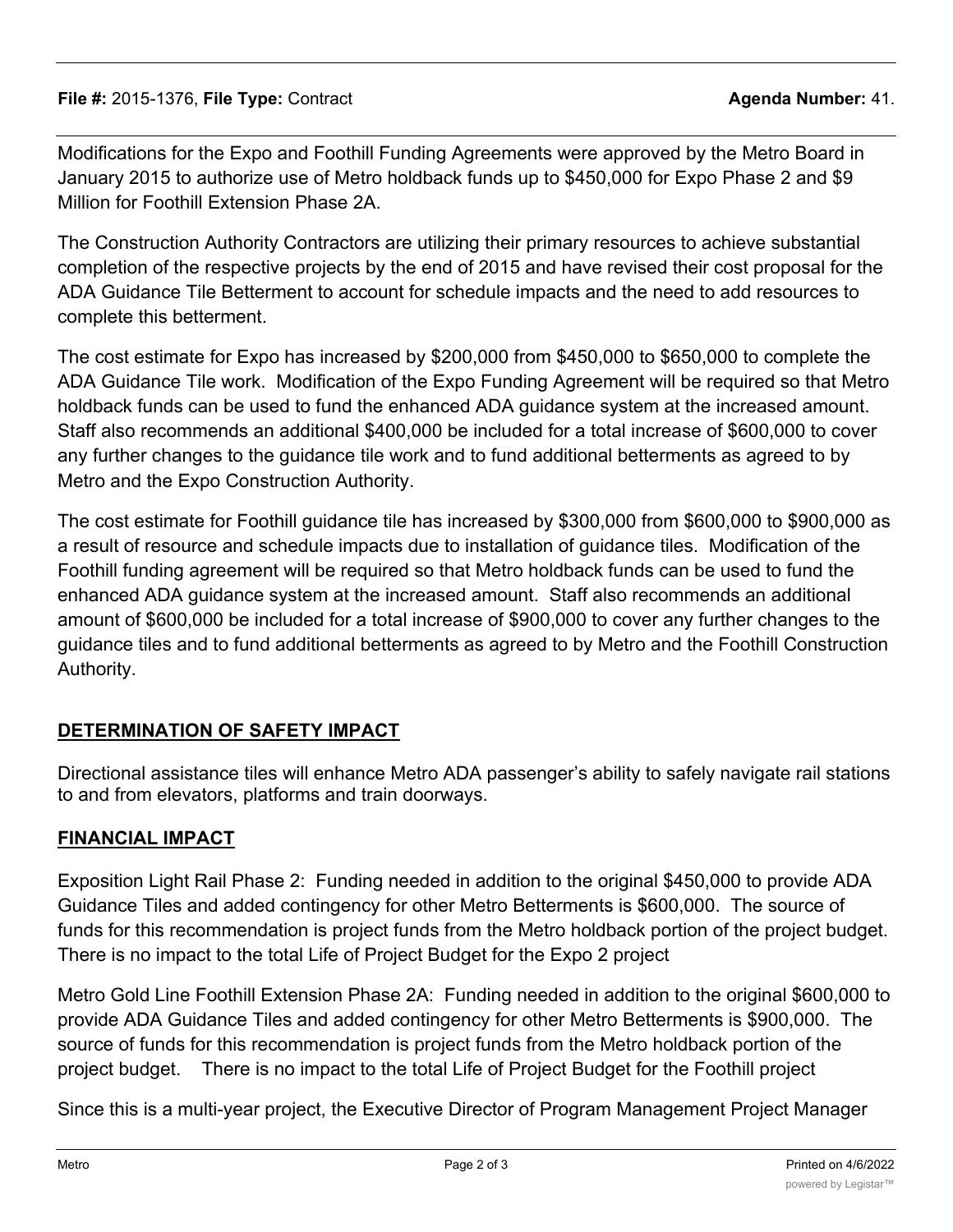Modifications for the Expo and Foothill Funding Agreements were approved by the Metro Board in January 2015 to authorize use of Metro holdback funds up to \$450,000 for Expo Phase 2 and \$9 Million for Foothill Extension Phase 2A.

The Construction Authority Contractors are utilizing their primary resources to achieve substantial completion of the respective projects by the end of 2015 and have revised their cost proposal for the ADA Guidance Tile Betterment to account for schedule impacts and the need to add resources to complete this betterment.

The cost estimate for Expo has increased by \$200,000 from \$450,000 to \$650,000 to complete the ADA Guidance Tile work. Modification of the Expo Funding Agreement will be required so that Metro holdback funds can be used to fund the enhanced ADA guidance system at the increased amount. Staff also recommends an additional \$400,000 be included for a total increase of \$600,000 to cover any further changes to the guidance tile work and to fund additional betterments as agreed to by Metro and the Expo Construction Authority.

The cost estimate for Foothill guidance tile has increased by \$300,000 from \$600,000 to \$900,000 as a result of resource and schedule impacts due to installation of guidance tiles. Modification of the Foothill funding agreement will be required so that Metro holdback funds can be used to fund the enhanced ADA guidance system at the increased amount. Staff also recommends an additional amount of \$600,000 be included for a total increase of \$900,000 to cover any further changes to the guidance tiles and to fund additional betterments as agreed to by Metro and the Foothill Construction Authority.

# **DETERMINATION OF SAFETY IMPACT**

Directional assistance tiles will enhance Metro ADA passenger's ability to safely navigate rail stations to and from elevators, platforms and train doorways.

# **FINANCIAL IMPACT**

Exposition Light Rail Phase 2: Funding needed in addition to the original \$450,000 to provide ADA Guidance Tiles and added contingency for other Metro Betterments is \$600,000. The source of funds for this recommendation is project funds from the Metro holdback portion of the project budget. There is no impact to the total Life of Project Budget for the Expo 2 project

Metro Gold Line Foothill Extension Phase 2A: Funding needed in addition to the original \$600,000 to provide ADA Guidance Tiles and added contingency for other Metro Betterments is \$900,000. The source of funds for this recommendation is project funds from the Metro holdback portion of the project budget. There is no impact to the total Life of Project Budget for the Foothill project

Since this is a multi-year project, the Executive Director of Program Management Project Manager